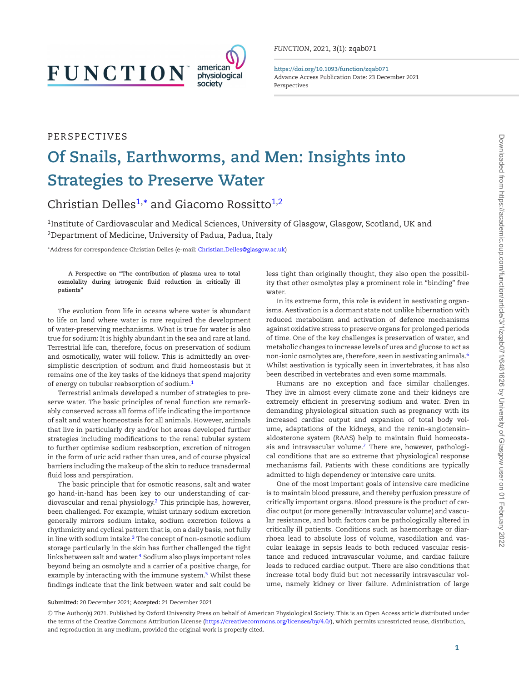# **FUNCTION**

PERSPECTIVES



**https://doi.org/10.1093/function/zqab071** Advance Access Publication Date: 23 December 2021 Perspectives

# **Of Snails, Earthworms, and Men: Insights into Strategies to Preserve Water**

Christian Delles<sup>1,</sup>[\\*](#page-0-1) and Giacomo Rossitto<sup>1,[2](#page-0-2)</sup>

<span id="page-0-0"></span><sup>1</sup>Institute of Cardiovascular and Medical Sciences, University of Glasgow, Glasgow, Scotland, UK and 2Department of Medicine, University of Padua, Padua, Italy

<span id="page-0-2"></span><span id="page-0-1"></span>∗Address for correspondence Christian Delles (e-mail: [Christian.Delles@glasgow.ac.uk\)](mailto:Christian.Delles@glasgow.ac.uk)

**A Perspective on "The contribution of plasma urea to total osmolality during iatrogenic fluid reduction in critically ill patients"**

The evolution from life in oceans where water is abundant to life on land where water is rare required the development of water-preserving mechanisms. What is true for water is also true for sodium: It is highly abundant in the sea and rare at land. Terrestrial life can, therefore, focus on preservation of sodium and osmotically, water will follow. This is admittedly an oversimplistic description of sodium and fluid homeostasis but it remains one of the key tasks of the kidneys that spend majority of energy on tubular reabsorption of sodium.[1](#page-1-0)

Terrestrial animals developed a number of strategies to preserve water. The basic principles of renal function are remarkably conserved across all forms of life indicating the importance of salt and water homeostasis for all animals. However, animals that live in particularly dry and/or hot areas developed further strategies including modifications to the renal tubular system to further optimise sodium reabsorption, excretion of nitrogen in the form of uric acid rather than urea, and of course physical barriers including the makeup of the skin to reduce transdermal fluid loss and perspiration.

The basic principle that for osmotic reasons, salt and water go hand-in-hand has been key to our understanding of cardiovascular and renal physiology.[2](#page-1-1) This principle has, however, been challenged. For example, whilst urinary sodium excretion generally mirrors sodium intake, sodium excretion follows a rhythmicity and cyclical pattern that is, on a daily basis, not fully in line with sodium intake. $3$  The concept of non-osmotic sodium storage particularly in the skin has further challenged the tight links between salt and water. $4$  Sodium also plays important roles beyond being an osmolyte and a carrier of a positive charge, for example by interacting with the immune system.<sup>5</sup> Whilst these findings indicate that the link between water and salt could be

less tight than originally thought, they also open the possibility that other osmolytes play a prominent role in "binding" free water.

In its extreme form, this role is evident in aestivating organisms. Aestivation is a dormant state not unlike hibernation with reduced metabolism and activation of defence mechanisms against oxidative stress to preserve organs for prolonged periods of time. One of the key challenges is preservation of water, and metabolic changes to increase levels of urea and glucose to act as non-ionic osmolytes are, therefore, seen in aestivating animals.[6](#page-1-5) Whilst aestivation is typically seen in invertebrates, it has also been described in vertebrates and even some mammals.

Humans are no exception and face similar challenges. They live in almost every climate zone and their kidneys are extremely efficient in preserving sodium and water. Even in demanding physiological situation such as pregnancy with its increased cardiac output and expansion of total body volume, adaptations of the kidneys, and the renin–angiotensin– aldosterone system (RAAS) help to maintain fluid homeosta-sis and intravascular volume.<sup>[7](#page-1-6)</sup> There are, however, pathological conditions that are so extreme that physiological response mechanisms fail. Patients with these conditions are typically admitted to high dependency or intensive care units.

One of the most important goals of intensive care medicine is to maintain blood pressure, and thereby perfusion pressure of critically important organs. Blood pressure is the product of cardiac output (or more generally: Intravascular volume) and vascular resistance, and both factors can be pathologically altered in critically ill patients. Conditions such as haemorrhage or diarrhoea lead to absolute loss of volume, vasodilation and vascular leakage in sepsis leads to both reduced vascular resistance and reduced intravascular volume, and cardiac failure leads to reduced cardiac output. There are also conditions that increase total body fluid but not necessarily intravascular volume, namely kidney or liver failure. Administration of large

**Submitted:** 20 December 2021; **Accepted:** 21 December 2021

<sup>C</sup> The Author(s) 2021. Published by Oxford University Press on behalf of American Physiological Society. This is an Open Access article distributed under the terms of the Creative Commons Attribution License [\(https://creativecommons.org/licenses/by/4.0/\)](https://creativecommons.org/licenses/by/4.0/), which permits unrestricted reuse, distribution, and reproduction in any medium, provided the original work is properly cited.